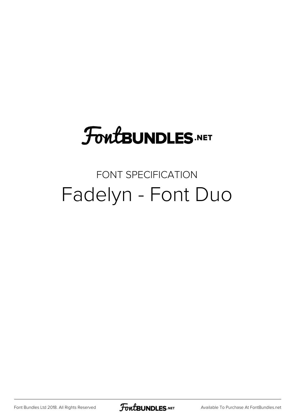# **FoutBUNDLES.NET**

#### FONT SPECIFICATION Fadelyn - Font Duo

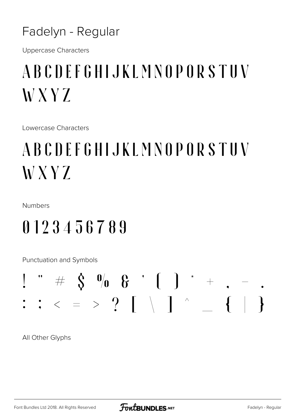Fadelyn - Regular

**Uppercase Characters** 

### ABCDEFGHIJKLMNOPORSTUV W X Y Z

Lowercase Characters

## ABCDEFGHIJKLMNOPORSTUV W X Y Z

Numbers

#### 0123456789

**Punctuation and Symbols** 



All Other Glyphs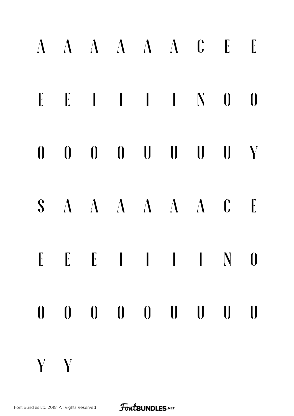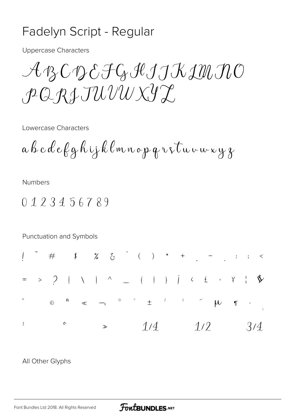#### Fadelyn Script - Regular

**Uppercase Characters** 

 $\mathcal{A} \text{B} \text{C} \text{D} \text{C} \text{F} \text{G} \text{H} \text{J} \text{J} \text{K} \text{I} \text{M} \text{I} \text{C}$  $\rho Q R L T U U V V S T$ 

Lowercase Characters

 $a$  b c d e f g h i j k l m n o p q r s t u v m x y z

Numbers

 $0123456789$ 



All Other Glyphs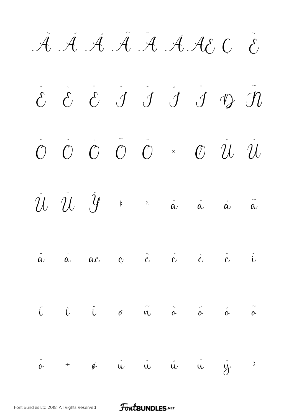À Á Â Ã A A ACC È

 $\tilde{c}$   $\tilde{c}$   $\tilde{d}$   $\tilde{J}$   $\tilde{J}$   $\tilde{J}$   $\tilde{J}$   $\tilde{m}$  $\begin{array}{ccc} \stackrel{\sim}{\cal O} & \stackrel{\sim}{\cal O} & \times & \stackrel{\sim}{\cal O} & \stackrel{\sim}{\cal U} \end{array}$  $\overline{O}$   $\overline{O}$   $\overline{O}$  $\hat{u}$  $\mathcal{U}$   $\mathcal{U}$   $\mathcal{Y}$  $\beta$  $\alpha$  $\tilde{\alpha}$  $\tilde{\alpha}$  $\hat{\alpha}$  $\begin{array}{ccccccccccccc}\n & & {\hat {\bf c}} & & {\hat {\bf c}} & & {\hat {\bf c}} & & {\hat {\bf c}} & & \vec{c}\n\end{array}$  $\ddot{\tilde{\alpha}}$  $\overset{\circ}{\alpha}$  $\ddot{i}$  $\alpha e$  $\tilde{\mathfrak{n}}$  $\overrightarrow{0}$   $\overrightarrow{0}$  $\hat{L}$   $\ddot{L}$  $\tilde{\circ}$  $\tilde{L}$  $\hat{\alpha}$  $\mathcal{O}$  $\ddot{\circ}$  $\phi$   $\mathbf{u}$   $\mathbf{u}$   $\mathbf{u}$  $\ddot{u}$  $\tilde{y}$  $\overline{p}$  $\div$ 

FortBUNDLES.NET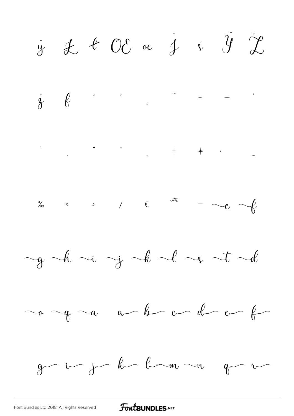$\dot{y}$   $\dot{x}$   $\dot{y}$   $\dot{y}$   $\dot{y}$  $\dot{\gamma}$  by a contract of  $\dot{\gamma}$  $\frac{a}{b}$  < > /  $\epsilon$  m -  $\sim e$   $\sim$  $-g-h \sim i \rightarrow j$  de  $-e \rightarrow t-d$  $g-$  in for known  $g-r$ 

#### **FoutBUNDLES**.NET